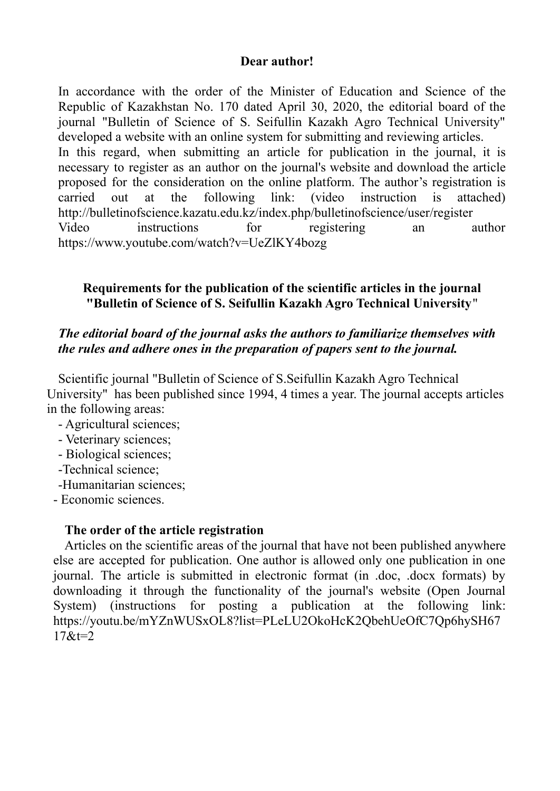#### **Dear author!**

In accordance with the order of the Minister of Education and Science of the Republic of Kazakhstan No. 170 dated April 30, 2020, the editorial board of the journal "Bulletin of Science of S. Seifullin Kazakh Agro Technical University" developed a website with an online system for submitting and reviewing articles. In this regard, when submitting an article for publication in the journal, it is necessary to register as an author on the journal's website and download the article proposed for the consideration on the online platform. The author's registration is carried out at the following link: (video instruction is attached) http://bulletinofscience.kazatu.edu.kz/index.php/bulletinofscience/user/register Video instructions for registering an author https://www.youtube.com/watch?v=UeZlKY4bozg

## **Requirements for the publication of the scientific articles in the journal "Bulletin of Science of S. Seifullin Kazakh Agro Technical University**"

## *The editorial board of the journal asks the authors to familiarize themselves with the rules and adhere ones in the preparation of papers sent to the journal.*

Scientific journal "Bulletin of Science of S.Seifullin Kazakh Agro Technical University" has been published since 1994, 4 times a year. The journal accepts articles in the following areas:

- Agricultural sciences;
- Veterinary sciences;
- Biological sciences;
- -Technical science;
- -Humanitarian sciences;
- Economic sciences.

## **The order of the article registration**

Articles on the scientific areas of the journal that have not been published anywhere else are accepted for publication. One author is allowed only one publication in one journal. The article is submitted in electronic format (in .doc, .docx formats) by downloading it through the functionality of the journal's website (Open Journal System) (instructions for posting a publication at the following link: https://youtu.be/mYZnWUSxOL8?list=PLeLU2OkoHcK2QbehUeOfC7Qp6hySH67  $17 & t = 2$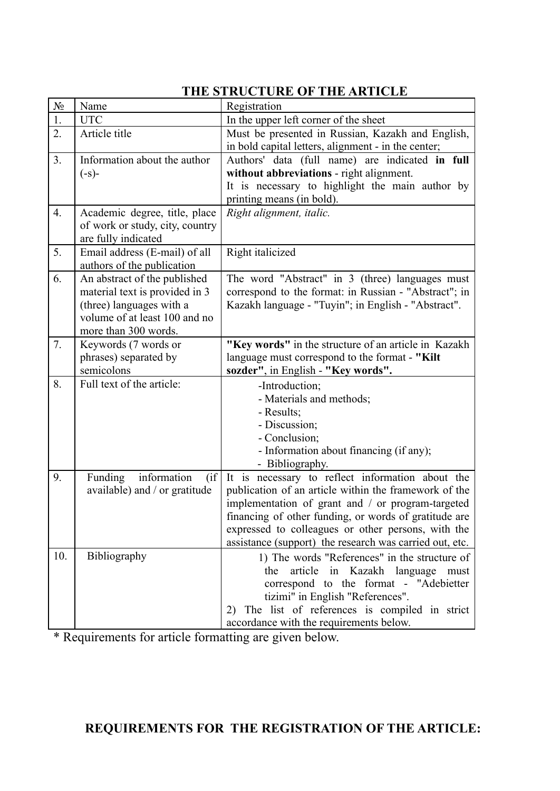# **THE STRUCTURE OF THE ARTICLE**

| $N_{\! \! \Omega}$ | Name                                                       | Registration                                                                                                 |
|--------------------|------------------------------------------------------------|--------------------------------------------------------------------------------------------------------------|
| 1.                 | $_{\rm UTC}$                                               | In the upper left corner of the sheet                                                                        |
| $\overline{2}$ .   | Article title                                              | Must be presented in Russian, Kazakh and English,                                                            |
|                    |                                                            | in bold capital letters, alignment - in the center;                                                          |
| 3.                 | Information about the author                               | Authors' data (full name) are indicated in full                                                              |
|                    | $(-s)$ -                                                   | without abbreviations - right alignment.                                                                     |
|                    |                                                            | It is necessary to highlight the main author by                                                              |
|                    |                                                            | printing means (in bold).                                                                                    |
| 4.                 | Academic degree, title, place                              | Right alignment, italic.                                                                                     |
|                    | of work or study, city, country                            |                                                                                                              |
|                    | are fully indicated                                        |                                                                                                              |
| 5.                 | Email address (E-mail) of all                              | Right italicized                                                                                             |
|                    | authors of the publication                                 |                                                                                                              |
| 6.                 | An abstract of the published                               | The word "Abstract" in 3 (three) languages must                                                              |
|                    | material text is provided in 3<br>(three) languages with a | correspond to the format: in Russian - "Abstract"; in<br>Kazakh language - "Tuyin"; in English - "Abstract". |
|                    | volume of at least 100 and no                              |                                                                                                              |
|                    | more than 300 words.                                       |                                                                                                              |
| 7.                 | Keywords (7 words or                                       | "Key words" in the structure of an article in Kazakh                                                         |
|                    | phrases) separated by                                      | language must correspond to the format - "Kilt                                                               |
|                    | semicolons                                                 | sozder", in English - "Key words".                                                                           |
| 8.                 | Full text of the article:                                  | -Introduction;                                                                                               |
|                    |                                                            | - Materials and methods;                                                                                     |
|                    |                                                            | - Results;                                                                                                   |
|                    |                                                            | - Discussion;                                                                                                |
|                    |                                                            | - Conclusion;                                                                                                |
|                    |                                                            | - Information about financing (if any);                                                                      |
|                    |                                                            | - Bibliography.                                                                                              |
| 9.                 | Funding<br>information                                     | $(ii)$ It is necessary to reflect information about the                                                      |
|                    | available) and / or gratitude                              | publication of an article within the framework of the                                                        |
|                    |                                                            | implementation of grant and / or program-targeted                                                            |
|                    |                                                            | financing of other funding, or words of gratitude are                                                        |
|                    |                                                            | expressed to colleagues or other persons, with the                                                           |
| 10.                |                                                            | assistance (support) the research was carried out, etc.                                                      |
|                    | Bibliography                                               | 1) The words "References" in the structure of                                                                |
|                    |                                                            | the<br>article<br>in Kazakh language<br>must                                                                 |
|                    |                                                            | correspond to the format - "Adebietter<br>tizimi" in English "References".                                   |
|                    |                                                            | The list of references is compiled in strict<br>2)                                                           |
|                    |                                                            | accordance with the requirements below.                                                                      |
|                    |                                                            |                                                                                                              |

\* Requirements for article formatting are given below.

**REQUIREMENTS FOR THE REGISTRATION OF THE ARTICLE:**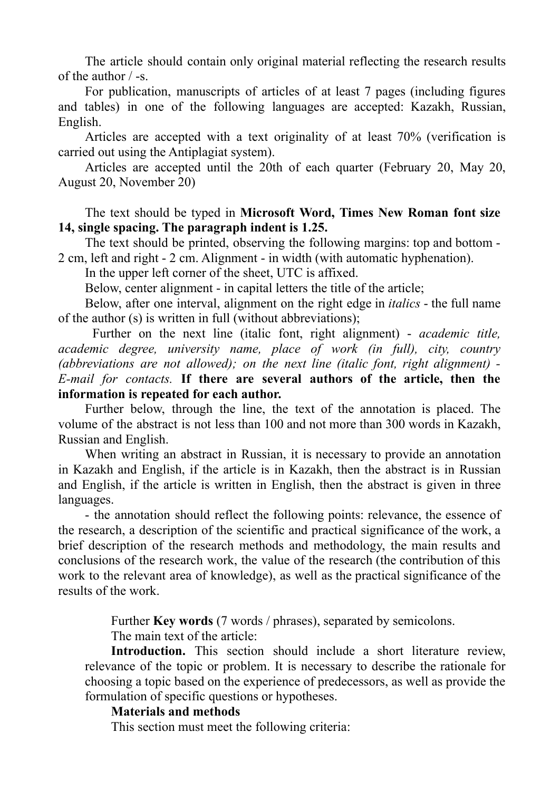The article should contain only original material reflecting the research results of the author / -s.

For publication, manuscripts of articles of at least 7 pages (including figures and tables) in one of the following languages are accepted: Kazakh, Russian, English.

Articles are accepted with a text originality of at least 70% (verification is carried out using the Antiplagiat system).

Articles are accepted until the 20th of each quarter (February 20, May 20, August 20, November 20)

The text should be typed in **Microsoft Word, Times New Roman font size 14, single spacing. The paragraph indent is 1.25.**

The text should be printed, observing the following margins: top and bottom - 2 cm, left and right - 2 cm. Alignment - in width (with automatic hyphenation).

In the upper left corner of the sheet, UTC is affixed.

Below, center alignment - in capital letters the title of the article;

Below, after one interval, alignment on the right edge in *italics* - the full name of the author (s) is written in full (without abbreviations);

Further on the next line (italic font, right alignment) - *academic title, academic degree, university name, place of work (in full), city, country (abbreviations are not allowed); on the next line (italic font, right alignment) - E-mail for contacts.* **If there are several authors of the article, then the information is repeated for each author.**

Further below, through the line, the text of the annotation is placed. The volume of the abstract is not less than 100 and not more than 300 words in Kazakh, Russian and English.

When writing an abstract in Russian, it is necessary to provide an annotation in Kazakh and English, if the article is in Kazakh, then the abstract is in Russian and English, if the article is written in English, then the abstract is given in three languages.

- the annotation should reflect the following points: relevance, the essence of the research, a description of the scientific and practical significance of the work, a brief description of the research methods and methodology, the main results and conclusions of the research work, the value of the research (the contribution of this work to the relevant area of knowledge), as well as the practical significance of the results of the work.

> Further **Key words** (7 words / phrases), separated by semicolons. The main text of the article:

**Introduction.** This section should include a short literature review, relevance of the topic or problem. It is necessary to describe the rationale for choosing a topic based on the experience of predecessors, as well as provide the formulation of specific questions or hypotheses.

#### **Materials and methods**

This section must meet the following criteria: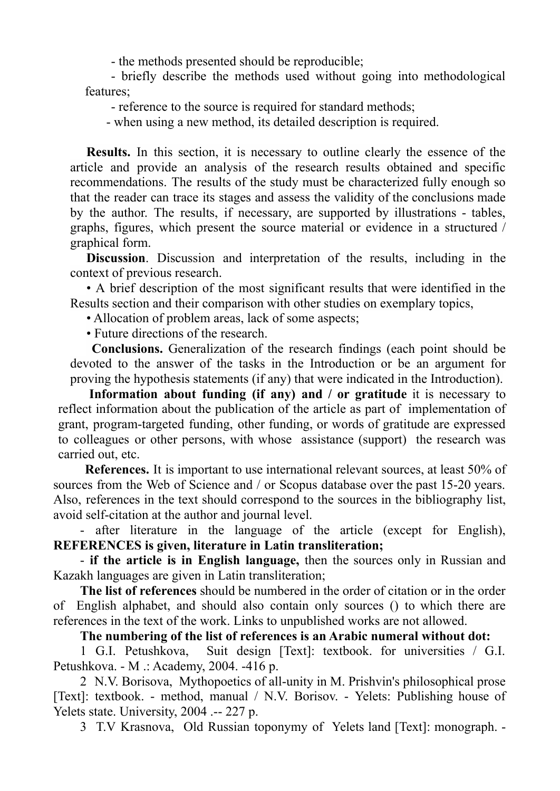- the methods presented should be reproducible;

- briefly describe the methods used without going into methodological features;

- reference to the source is required for standard methods;

- when using a new method, its detailed description is required.

**Results.** In this section, it is necessary to outline clearly the essence of the article and provide an analysis of the research results obtained and specific recommendations. The results of the study must be characterized fully enough so that the reader can trace its stages and assess the validity of the conclusions made by the author. The results, if necessary, are supported by illustrations - tables, graphs, figures, which present the source material or evidence in a structured / graphical form.

**Discussion**. Discussion and interpretation of the results, including in the context of previous research.

• A brief description of the most significant results that were identified in the Results section and their comparison with other studies on exemplary topics,

• Allocation of problem areas, lack of some aspects;

• Future directions of the research.

**Conclusions.** Generalization of the research findings (each point should be devoted to the answer of the tasks in the Introduction or be an argument for proving the hypothesis statements (if any) that were indicated in the Introduction).

**Information about funding (if any) and / or gratitude** it is necessary to reflect information about the publication of the article as part of implementation of grant, program-targeted funding, other funding, or words of gratitude are expressed to colleagues or other persons, with whose assistance (support) the research was carried out, etc.

**References.** It is important to use international relevant sources, at least 50% of sources from the Web of Science and / or Scopus database over the past 15-20 years. Also, references in the text should correspond to the sources in the bibliography list, avoid self-citation at the author and journal level.

- after literature in the language of the article (except for English), **REFERENCES is given, literature in Latin transliteration;**

- **if the article is in English language,** then the sources only in Russian and Kazakh languages are given in Latin transliteration;

**The list of references** should be numbered in the order of citation or in the order of English alphabet, and should also contain only sources () to which there are references in the text of the work. Links to unpublished works are not allowed.

**The numbering of the list of references is an Arabic numeral without dot:**

1 G.I. Petushkova, Suit design [Text]: textbook. for universities / G.I. Petushkova. - M .: Academy, 2004. -416 p.

2 N.V. Borisova, Mythopoetics of all-unity in M. Prishvin's philosophical prose [Text]: textbook. - method, manual / N.V. Borisov. - Yelets: Publishing house of Yelets state. University, 2004 .-- 227 p.

3 T.V Krasnova, Old Russian toponymy of Yelets land [Text]: monograph. -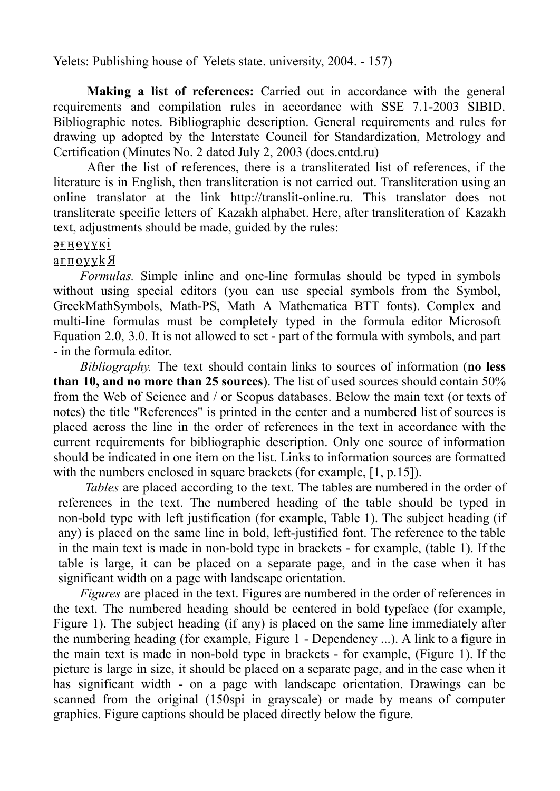Yelets: Publishing house of Yelets state. university, 2004. - 157)

**Making a list of references:** Carried out in accordance with the general requirements and compilation rules in accordance with SSE 7.1-2003 SIBID. Bibliographic notes. Bibliographic description. General requirements and rules for drawing up adopted by the Interstate Council for Standardization, Metrology and Certification (Minutes No. 2 dated July 2, 2003 (docs.cntd.ru)

After the list of references, there is a transliterated list of references, if the literature is in English, then transliteration is not carried out. Transliteration using an online translator at the link http://translit-online.ru. This translator does not transliterate specific letters of Kazakh alphabet. Here, after transliteration of Kazakh text, adjustments should be made, guided by the rules:

## әғңөүұқі

#### агпоууkЯ

*Formulas.* Simple inline and one-line formulas should be typed in symbols without using special editors (you can use special symbols from the Symbol, GreekMathSymbols, Math-PS, Math A Mathematica BTT fonts). Complex and multi-line formulas must be completely typed in the formula editor Microsoft Equation 2.0, 3.0. It is not allowed to set - part of the formula with symbols, and part - in the formula editor.

*Bibliography.* The text should contain links to sources of information (**no less than 10, and no more than 25 sources**). The list of used sources should contain 50% from the Web of Science and / or Scopus databases. Below the main text (or texts of notes) the title "References" is printed in the center and a numbered list of sources is placed across the line in the order of references in the text in accordance with the current requirements for bibliographic description. Only one source of information should be indicated in one item on the list. Links to information sources are formatted with the numbers enclosed in square brackets (for example, [1, p.15]).

*Tables* are placed according to the text. The tables are numbered in the order of references in the text. The numbered heading of the table should be typed in non-bold type with left justification (for example, Table 1). The subject heading (if any) is placed on the same line in bold, left-justified font. The reference to the table in the main text is made in non-bold type in brackets - for example, (table 1). If the table is large, it can be placed on a separate page, and in the case when it has significant width on a page with landscape orientation.

*Figures* are placed in the text. Figures are numbered in the order of references in the text. The numbered heading should be centered in bold typeface (for example, Figure 1). The subject heading (if any) is placed on the same line immediately after the numbering heading (for example, Figure 1 - Dependency ...). A link to a figure in the main text is made in non-bold type in brackets - for example, (Figure 1). If the picture is large in size, it should be placed on a separate page, and in the case when it has significant width - on a page with landscape orientation. Drawings can be scanned from the original (150spi in grayscale) or made by means of computer graphics. Figure captions should be placed directly below the figure.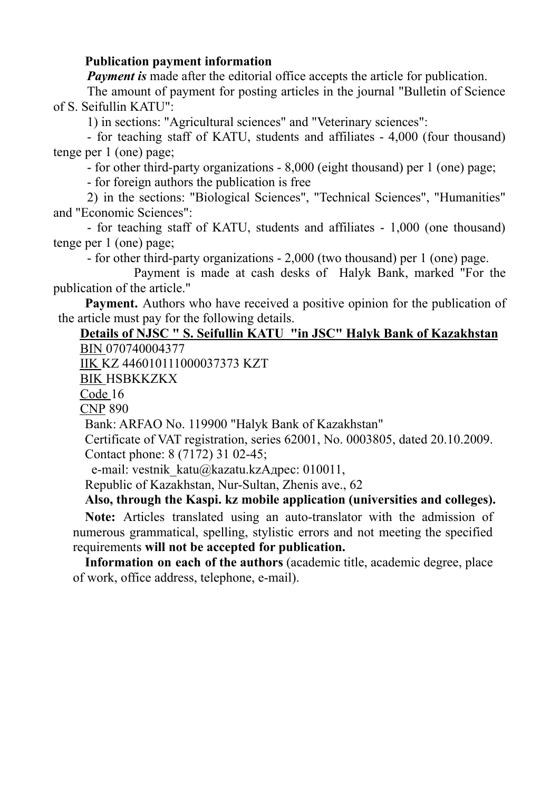## **Publication payment information**

*Payment is* made after the editorial office accepts the article for publication.

The amount of payment for posting articles in the journal "Bulletin of Science of S. Seifullin KATU":

1) in sections: "Agricultural sciences" and "Veterinary sciences":

- for teaching staff of KATU, students and affiliates - 4,000 (four thousand) tenge per 1 (one) page;

- for other third-party organizations - 8,000 (eight thousand) per 1 (one) page;

- for foreign authors the publication is free

2) in the sections: "Biological Sciences", "Technical Sciences", "Humanities" and "Economic Sciences":

- for teaching staff of KATU, students and affiliates - 1,000 (one thousand) tenge per 1 (one) page;

- for other third-party organizations - 2,000 (two thousand) per 1 (one) page.

Payment is made at cash desks of Halyk Bank, marked "For the publication of the article."

**Payment.** Authors who have received a positive opinion for the publication of the article must pay for the following details.

# **Details of NJSC " S. Seifullin KATU "in JSC" Halyk Bank of Kazakhstan**

BIN 070740004377

IIK KZ 446010111000037373 KZT

BIK HSBKKZKX

Code 16

CNP 890

Bank: ARFAO No. 119900 "Halyk Bank of Kazakhstan"

Certificate of VAT registration, series 62001, No. 0003805, dated 20.10.2009. Contact phone: 8 (7172) 31 02-45;

e-mail: vestnik\_katu@kazatu.kzАдрес: 010011,

Republic of Kazakhstan, Nur-Sultan, Zhenis ave., 62

**Also, through the Kaspi. kz mobile application (universities and colleges).**

**Note:** Articles translated using an auto-translator with the admission of numerous grammatical, spelling, stylistic errors and not meeting the specified requirements **will not be accepted for publication.**

**Information on each of the authors** (academic title, academic degree, place of work, office address, telephone, e-mail).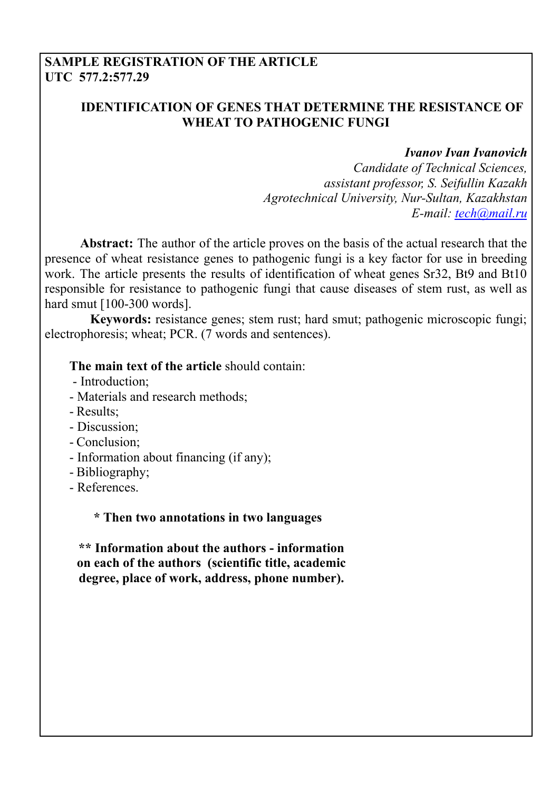## **SAMPLE REGISTRATION OF THE ARTICLE UTC 577.2:577.29**

# **IDENTIFICATION OF GENES THAT DETERMINE THE RESISTANCE OF WHEAT TO PATHOGENIC FUNGI**

#### *Ivanov Ivan Ivanovich*

*Candidate of Technical Sciences, assistant professor, S. Seifullin Kazakh Agrotechnical University, Nur-Sultan, Kazakhstan E-mail: [tech@mail.ru](mailto:tech@mail.ru)*

**Abstract:** The author of the article proves on the basis of the actual research that the presence of wheat resistance genes to pathogenic fungi is a key factor for use in breeding work. The article presents the results of identification of wheat genes Sr32, Bt9 and Bt10 responsible for resistance to pathogenic fungi that cause diseases of stem rust, as well as hard smut [100-300 words].

**Keywords:** resistance genes; stem rust; hard smut; pathogenic microscopic fungi; electrophoresis; wheat; PCR. (7 words and sentences).

#### **The main text of the article** should contain:

- Introduction;
- Materials and research methods;
- Results;
- Discussion;
- Conclusion;
- Information about financing (if any);
- Bibliography;
- References.

#### **\* Then two annotations in two languages**

**\*\* Information about the authors - information on each of the authors (scientific title, academic degree, place of work, address, phone number).**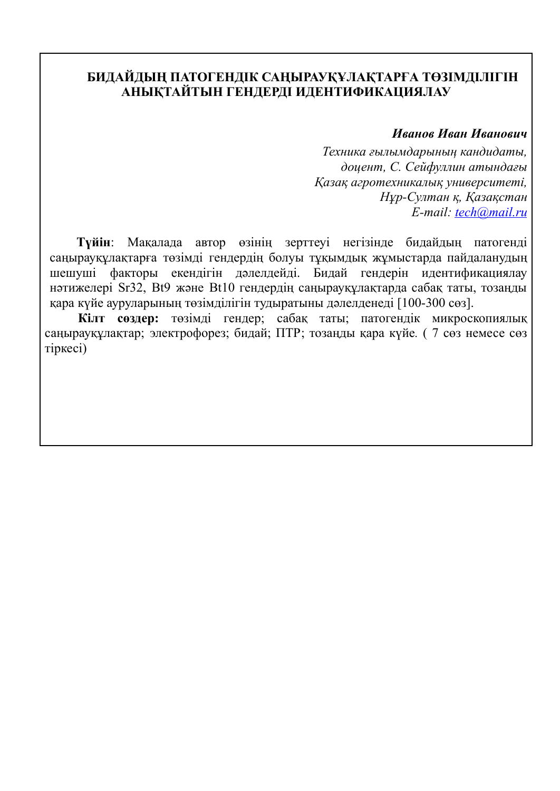# **БИДАЙДЫҢ ПАТОГЕНДІК САҢЫРАУҚҰЛАҚТАРҒА ТӨЗІМДІЛІГІН АНЫҚТАЙТЫН ГЕНДЕРДІ ИДЕНТИФИКАЦИЯЛАУ**

## *Иванов Иван Иванович*

*Техника ғылымдарының кандидаты, доцент, С. Сейфуллин атындағы Қазақ агротехникалық университеті, Нұр-Султан қ, Қазақстан E-mail: [tech@mail.ru](mailto:tech@mail.ru)*

**Түйін**: Мақалада автор өзінің зерттеуі негізінде бидайдың патогенді саңырауқұлақтарға төзімді гендердің болуы тұқымдық жұмыстарда пайдаланудың шешуші факторы екендігін дәлелдейді. Бидай гендерін идентификациялау нәтижелері Sr32, Bt9 және Bt10 гендердің саңырауқұлақтарда сабақ таты, тозаңды қара күйе ауруларының төзімділігін тудыратыны дәлелденеді [100-300 сөз].

**Кілт сөздер:** төзімді гендер; сабақ таты; патогендік микроскопиялық саңырауқұлақтар; электрофорез; бидай; ПТР; тозаңды қара күйе*.* ( 7 сөз немесе сөз тіркесі)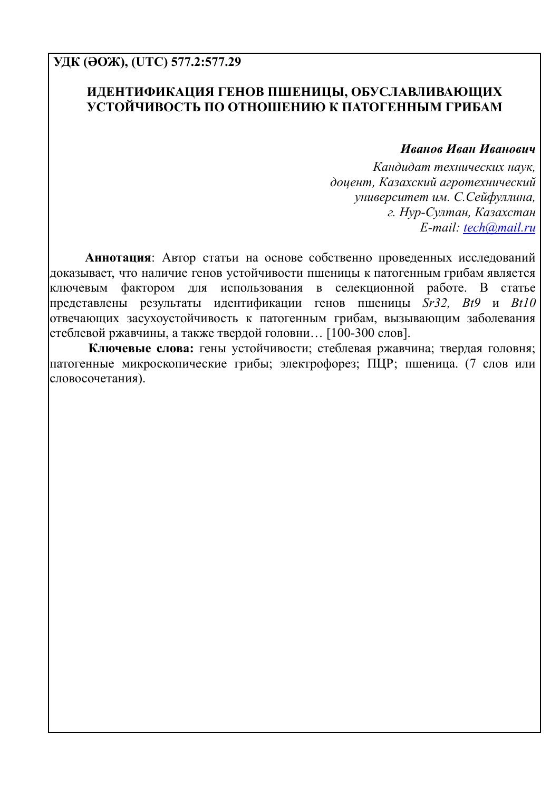## **УДК (ӘОЖ), (UTC) 577.2:577.29**

# **ИДЕНТИФИКАЦИЯ ГЕНОВ ПШЕНИЦЫ, ОБУСЛАВЛИВАЮЩИХ УСТОЙЧИВОСТЬ ПО ОТНОШЕНИЮ К ПАТОГЕННЫМ ГРИБАМ**

#### *Иванов Иван Иванович*

*Кандидат технических наук, доцент, Казахский агротехнический университет им. С.Сейфуллина, г. Нур-Султан, Казахстан E-mail: [tech@mail.ru](mailto:tech@mail.ru)*

**Аннотация**: Автор статьи на основе собственно проведенных исследований доказывает, что наличие генов устойчивости пшеницы к патогенным грибам является ключевым фактором для использования в селекционной работе. В статье представлены результаты идентификации генов пшеницы *Sr32, Bt9* и *Bt10* отвечающих засухоустойчивость к патогенным грибам, вызывающим заболевания стеблевой ржавчины, а также твердой головни...  $[100-300$  слов].

**Ключевые слова:** гены устойчивости; стеблевая ржавчина; твердая головня; патогенные микроскопические грибы; электрофорез; ПЦР; пшеница. (7 слов или словосочетания).